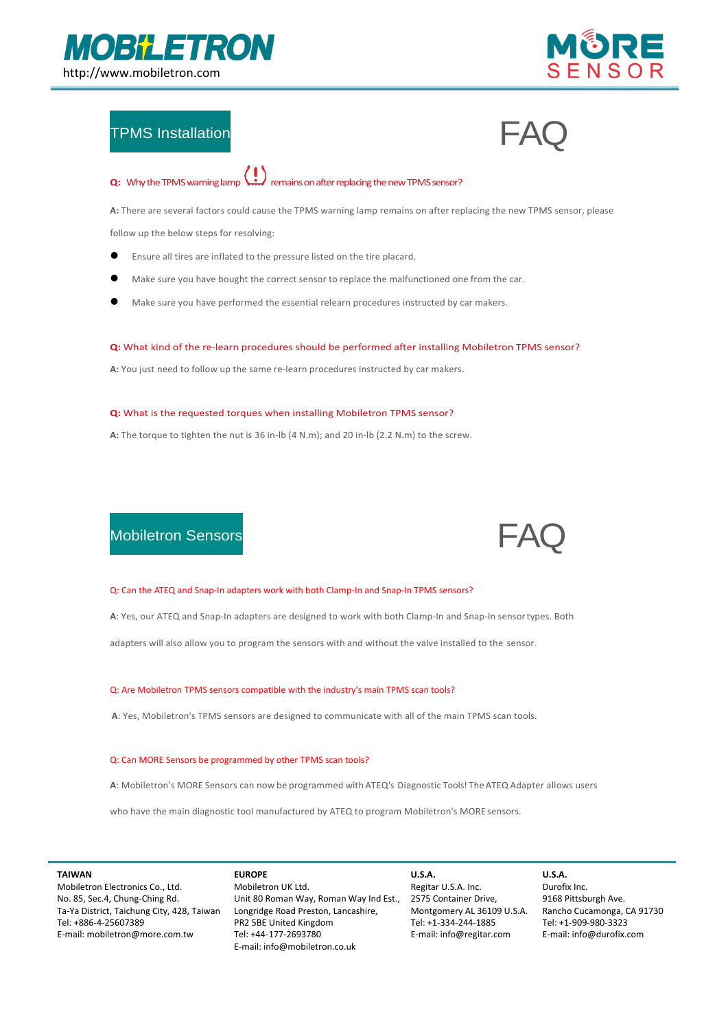



## TPMS Installation  $\mathsf{FAG}$

# **Q:** Why the TPMS warning lamp  $\left(\begin{array}{c} \bullet \\ \bullet \end{array}\right)$  remains on after replacing the new TPMS sensor?

**A:** There are several factors could cause the TPMS warning lamp remains on after replacing the new TPMS sensor, please

follow up the below steps for resolving:

- Ensure all tires are inflated to the pressure listed on the tire placard.
- Make sure you have bought the correct sensor to replace the malfunctioned one from the car.
- Make sure you have performed the essential relearn procedures instructed by car makers.

#### **Q:** What kind of the re-learn procedures should be performed after installing Mobiletron TPMS sensor?

**A:** You just need to follow up the same re-learn procedures instructed by car makers.

#### **Q:** What is the requested torques when installing Mobiletron TPMS sensor?

**A:** The torque to tighten the nut is 36 in-lb (4 N.m); and 20 in-lb (2.2 N.m) to the screw.

### Mobiletron Sensors FAQ  $\blacktriangleright$   $\blacktriangle$



#### Q: Can the ATEQ and Snap-In adapters work with both Clamp-In and Snap-In TPMS sensors?

**A**: Yes, our ATEQ and Snap-In adapters are designed to work with both Clamp-In and Snap-In sensortypes. Both

adapters will also allow you to program the sensors with and without the valve installed to the sensor.

#### Q: Are Mobiletron TPMS sensors compatible with the industry's main TPMS scan tools?

**A**: Yes, Mobiletron's TPMS sensors are designed to communicate with all of the main TPMS scan tools.

#### Q: Can MORE Sensors be programmed by other TPMS scan tools?

**A**: Mobiletron's MORE Sensors can now be programmed withATEQ's Diagnostic Tools! TheATEQ Adapter allows users

who have the main diagnostic tool manufactured by ATEQ to program Mobiletron's MORE sensors.

#### **TAIWAN**

Mobiletron Electronics Co., Ltd. No. 85, Sec.4, Chung-Ching Rd. Ta-Ya District, Taichung City, 428, Taiwan Tel: +886-4-25607389 E-mail: mobiletron@more.com.tw

#### **EUROPE**

Mobiletron UK Ltd. Unit 80 Roman Way, Roman Way Ind Est., Longridge Road Preston, Lancashire, PR2 5BE United Kingdom Tel: +44-177-2693780 E-mail: info@mobiletron.co.uk

#### **U.S.A.** Regitar U.S.A. Inc. 2575 Container Drive, Montgomery AL 36109 U.S.A. Tel: +1-334-244-1885 E-mail: info@regitar.com

**U.S.A.** Durofix Inc. 9168 Pittsburgh Ave. Rancho Cucamonga, CA 91730 Tel: +1-909-980-3323 E-mail: info@durofix.com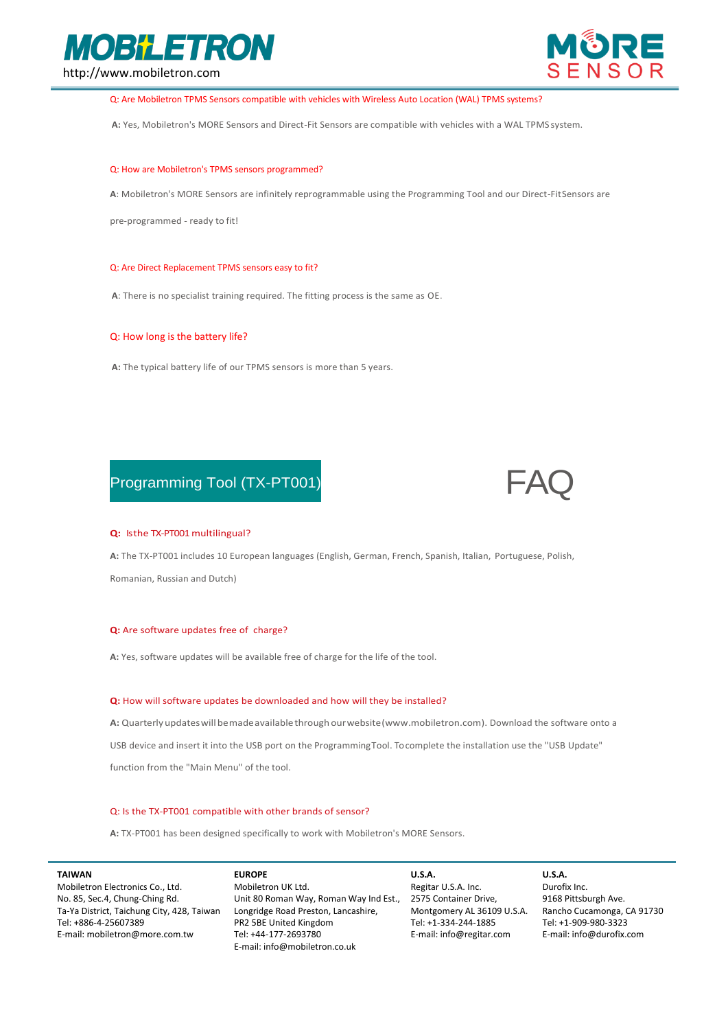



Q: Are Mobiletron TPMS Sensors compatible with vehicles with Wireless Auto Location (WAL) TPMS systems?

**A:** Yes, Mobiletron's MORE Sensors and Direct-Fit Sensors are compatible with vehicles with a WAL TPMS system.

#### Q: How are Mobiletron's TPMS sensors programmed?

**A**: Mobiletron's MORE Sensors are infinitely reprogrammable using the Programming Tool and our Direct-FitSensors are

pre-programmed - ready to fit!

#### Q: Are Direct Replacement TPMS sensors easy to fit?

**A**: There is no specialist training required. The fitting process is the same as OE.

#### Q: How long is the battery life?

**A:** The typical battery life of our TPMS sensors is more than 5 years.

## Programming Tool (TX-PT001)



#### **Q:** Isthe TX-PT001 multilingual?

**A:** The TX-PT001 includes 10 European languages (English, German, French, Spanish, Italian, Portuguese, Polish,

Romanian, Russian and Dutch)

#### **Q:** Are software updates free of charge?

**A:** Yes, software updates will be available free of charge for the life of the tool.

#### **Q:** How will software updates be downloaded and how will they be installed?

**A:** Quarterlyupdateswillbemadeavailablethrough ourwebsite(www.mobiletron.com). Download the software onto a USB device and insert it into the USB port on the ProgrammingTool. To complete the installation use the "USB Update" function from the "Main Menu" of the tool.

#### Q: Is the TX-PT001 compatible with other brands of sensor?

**A:** TX-PT001 has been designed specifically to work with Mobiletron's MORE Sensors.

#### **TAIWAN**

Mobiletron Electronics Co., Ltd. No. 85, Sec.4, Chung-Ching Rd. Ta-Ya District, Taichung City, 428, Taiwan Tel: +886-4-25607389 E-mail: mobiletron@more.com.tw

#### **EUROPE**

Mobiletron UK Ltd. Unit 80 Roman Way, Roman Way Ind Est., Longridge Road Preston, Lancashire, PR2 5BE United Kingdom Tel: +44-177-2693780 E-mail: info@mobiletron.co.uk

**U.S.A.** Regitar U.S.A. Inc. 2575 Container Drive, Montgomery AL 36109 U.S.A. Tel: +1-334-244-1885 E-mail: info@regitar.com

#### **U.S.A.** Durofix Inc. 9168 Pittsburgh Ave. Rancho Cucamonga, CA 91730 Tel: +1-909-980-3323 E-mail: info@durofix.com